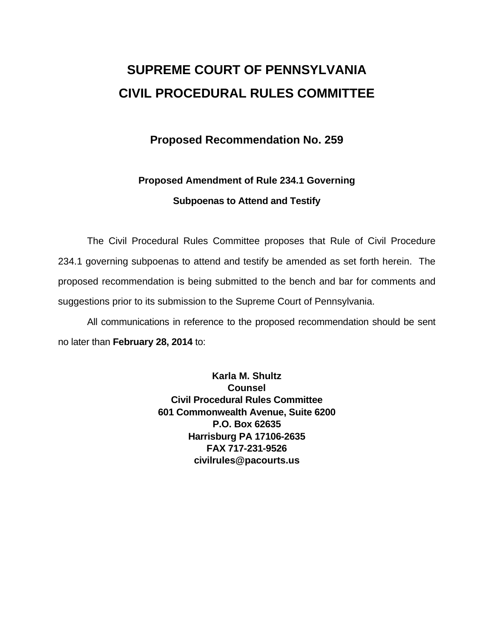# **SUPREME COURT OF PENNSYLVANIA CIVIL PROCEDURAL RULES COMMITTEE**

### **Proposed Recommendation No. 259**

### **Proposed Amendment of Rule 234.1 Governing Subpoenas to Attend and Testify**

The Civil Procedural Rules Committee proposes that Rule of Civil Procedure 234.1 governing subpoenas to attend and testify be amended as set forth herein. The proposed recommendation is being submitted to the bench and bar for comments and suggestions prior to its submission to the Supreme Court of Pennsylvania.

All communications in reference to the proposed recommendation should be sent no later than **February 28, 2014** to:

> **Karla M. Shultz Counsel Civil Procedural Rules Committee 601 Commonwealth Avenue, Suite 6200 P.O. Box 62635 Harrisburg PA 17106-2635 FAX 717-231-9526 civilrules@pacourts.us**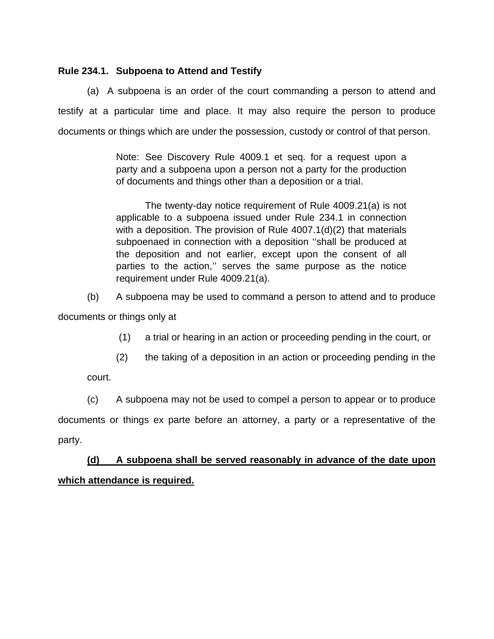#### **Rule 234.1. Subpoena to Attend and Testify**

(a) A subpoena is an order of the court commanding a person to attend and testify at a particular time and place. It may also require the person to produce documents or things which are under the possession, custody or control of that person.

> Note: See Discovery Rule 4009.1 et seq. for a request upon a party and a subpoena upon a person not a party for the production of documents and things other than a deposition or a trial.

> The twenty-day notice requirement of Rule 4009.21(a) is not applicable to a subpoena issued under Rule 234.1 in connection with a deposition. The provision of Rule 4007.1(d)(2) that materials subpoenaed in connection with a deposition ''shall be produced at the deposition and not earlier, except upon the consent of all parties to the action,'' serves the same purpose as the notice requirement under Rule 4009.21(a).

(b) A subpoena may be used to command a person to attend and to produce documents or things only at

(1) a trial or hearing in an action or proceeding pending in the court, or

(2) the taking of a deposition in an action or proceeding pending in the

court.

(c) A subpoena may not be used to compel a person to appear or to produce documents or things ex parte before an attorney, a party or a representative of the party.

## **(d) A subpoena shall be served reasonably in advance of the date upon which attendance is required.**